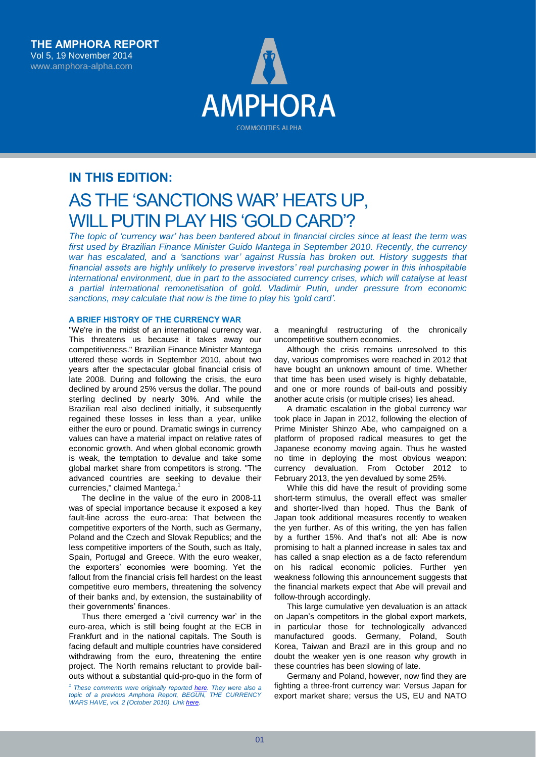

# **IN THIS EDITION:** AS THE 'SANCTIONS WAR' HEATS UP, WILL PUTIN PLAY HIS 'GOLD CARD'?

*The topic of 'currency war' has been bantered about in financial circles since at least the term was first used by Brazilian Finance Minister Guido Mantega in September 2010. Recently, the currency war has escalated, and a 'sanctions war' against Russia has broken out. History suggests that financial assets are highly unlikely to preserve investors' real purchasing power in this inhospitable international environment, due in part to the associated currency crises, which will catalyse at least a partial international remonetisation of gold. Vladimir Putin, under pressure from economic sanctions, may calculate that now is the time to play his 'gold card'.*

# **A BRIEF HISTORY OF THE CURRENCY WAR**

"We're in the midst of an international currency war. This threatens us because it takes away our competitiveness." Brazilian Finance Minister Mantega uttered these words in September 2010, about two years after the spectacular global financial crisis of late 2008. During and following the crisis, the euro declined by around 25% versus the dollar. The pound sterling declined by nearly 30%. And while the Brazilian real also declined initially, it subsequently regained these losses in less than a year, unlike either the euro or pound. Dramatic swings in currency values can have a material impact on relative rates of economic growth. And when global economic growth is weak, the temptation to devalue and take some global market share from competitors is strong. "The advanced countries are seeking to devalue their currencies," claimed Mantega.<sup>1</sup>

The decline in the value of the euro in 2008-11 was of special importance because it exposed a key fault-line across the euro-area: That between the competitive exporters of the North, such as Germany, Poland and the Czech and Slovak Republics; and the less competitive importers of the South, such as Italy, Spain, Portugal and Greece. With the euro weaker, the exporters' economies were booming. Yet the fallout from the financial crisis fell hardest on the least competitive euro members, threatening the solvency of their banks and, by extension, the sustainability of their governments' finances.

Thus there emerged a 'civil currency war' in the euro-area, which is still being fought at the ECB in Frankfurt and in the national capitals. The South is facing default and multiple countries have considered withdrawing from the euro, threatening the entire project. The North remains reluctant to provide bailouts without a substantial quid-pro-quo in the form of

*1 These comments were originally reported [here.](http://www.telegraph.co.uk/finance/commodities/11226240/Putin-stockpiles-gold-as-Russia-prepares-for-economic-war.html) They were also a topic of a previous Amphora Report, BEGUN, THE CURRENCY WARS HAVE, vol. 2 (October 2010). Link [here.](http://www.financialsense.com/contributors/john-butler/begun-the-currency-wars-have)*

a meaningful restructuring of the chronically uncompetitive southern economies.

Although the crisis remains unresolved to this day, various compromises were reached in 2012 that have bought an unknown amount of time. Whether that time has been used wisely is highly debatable, and one or more rounds of bail-outs and possibly another acute crisis (or multiple crises) lies ahead.

A dramatic escalation in the global currency war took place in Japan in 2012, following the election of Prime Minister Shinzo Abe, who campaigned on a platform of proposed radical measures to get the Japanese economy moving again. Thus he wasted no time in deploying the most obvious weapon: currency devaluation. From October 2012 to February 2013, the yen devalued by some 25%.

While this did have the result of providing some short-term stimulus, the overall effect was smaller and shorter-lived than hoped. Thus the Bank of Japan took additional measures recently to weaken the yen further. As of this writing, the yen has fallen by a further 15%. And that's not all: Abe is now promising to halt a planned increase in sales tax and has called a snap election as a de facto referendum on his radical economic policies. Further yen weakness following this announcement suggests that the financial markets expect that Abe will prevail and follow-through accordingly.

This large cumulative yen devaluation is an attack on Japan's competitors in the global export markets, in particular those for technologically advanced manufactured goods. Germany, Poland, South Korea, Taiwan and Brazil are in this group and no doubt the weaker yen is one reason why growth in these countries has been slowing of late.

Germany and Poland, however, now find they are fighting a three-front currency war: Versus Japan for export market share; versus the US, EU and NATO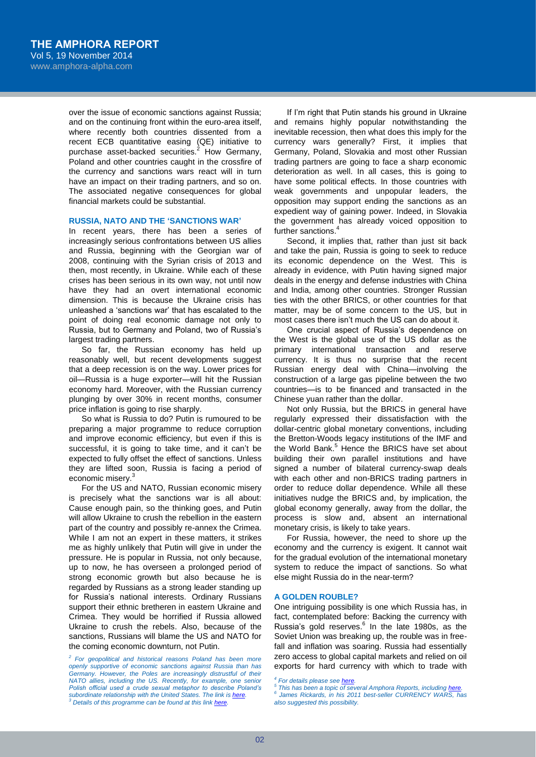over the issue of economic sanctions against Russia; and on the continuing front within the euro-area itself, where recently both countries dissented from a recent ECB quantitative easing (QE) initiative to purchase asset-backed securities. $2$  How Germany, Poland and other countries caught in the crossfire of the currency and sanctions wars react will in turn have an impact on their trading partners, and so on. The associated negative consequences for global financial markets could be substantial.

### **RUSSIA, NATO AND THE 'SANCTIONS WAR'**

In recent years, there has been a series of increasingly serious confrontations between US allies and Russia, beginning with the Georgian war of 2008, continuing with the Syrian crisis of 2013 and then, most recently, in Ukraine. While each of these crises has been serious in its own way, not until now have they had an overt international economic dimension. This is because the Ukraine crisis has unleashed a 'sanctions war' that has escalated to the point of doing real economic damage not only to Russia, but to Germany and Poland, two of Russia's largest trading partners.

So far, the Russian economy has held up reasonably well, but recent developments suggest that a deep recession is on the way. Lower prices for oil—Russia is a huge exporter—will hit the Russian economy hard. Moreover, with the Russian currency plunging by over 30% in recent months, consumer price inflation is going to rise sharply.

So what is Russia to do? Putin is rumoured to be preparing a major programme to reduce corruption and improve economic efficiency, but even if this is successful, it is going to take time, and it can't be expected to fully offset the effect of sanctions. Unless they are lifted soon, Russia is facing a period of economic misery.<sup>3</sup>

For the US and NATO, Russian economic misery is precisely what the sanctions war is all about: Cause enough pain, so the thinking goes, and Putin will allow Ukraine to crush the rebellion in the eastern part of the country and possibly re-annex the Crimea. While I am not an expert in these matters, it strikes me as highly unlikely that Putin will give in under the pressure. He is popular in Russia, not only because, up to now, he has overseen a prolonged period of strong economic growth but also because he is regarded by Russians as a strong leader standing up for Russia's national interests. Ordinary Russians support their ethnic bretheren in eastern Ukraine and Crimea. They would be horrified if Russia allowed Ukraine to crush the rebels. Also, because of the sanctions, Russians will blame the US and NATO for the coming economic downturn, not Putin.

If I'm right that Putin stands his ground in Ukraine and remains highly popular notwithstanding the inevitable recession, then what does this imply for the currency wars generally? First, it implies that Germany, Poland, Slovakia and most other Russian trading partners are going to face a sharp economic deterioration as well. In all cases, this is going to have some political effects. In those countries with weak governments and unpopular leaders, the opposition may support ending the sanctions as an expedient way of gaining power. Indeed, in Slovakia the government has already voiced opposition to further sanctions. 4

Second, it implies that, rather than just sit back and take the pain, Russia is going to seek to reduce its economic dependence on the West. This is already in evidence, with Putin having signed major deals in the energy and defense industries with China and India, among other countries. Stronger Russian ties with the other BRICS, or other countries for that matter, may be of some concern to the US, but in most cases there isn't much the US can do about it.

One crucial aspect of Russia's dependence on the West is the global use of the US dollar as the primary international transaction and reserve currency. It is thus no surprise that the recent Russian energy deal with China—involving the construction of a large gas pipeline between the two countries—is to be financed and transacted in the Chinese yuan rather than the dollar.

Not only Russia, but the BRICS in general have regularly expressed their dissatisfaction with the dollar-centric global monetary conventions, including the Bretton-Woods legacy institutions of the IMF and the World Bank.<sup>5</sup> Hence the BRICS have set about building their own parallel institutions and have signed a number of bilateral currency-swap deals with each other and non-BRICS trading partners in order to reduce dollar dependence. While all these initiatives nudge the BRICS and, by implication, the global economy generally, away from the dollar, the process is slow and, absent an international monetary crisis, is likely to take years.

For Russia, however, the need to shore up the economy and the currency is exigent. It cannot wait for the gradual evolution of the international monetary system to reduce the impact of sanctions. So what else might Russia do in the near-term?

#### **A GOLDEN ROUBLE?**

One intriguing possibility is one which Russia has, in fact, contemplated before: Backing the currency with Russia's gold reserves.<sup>6</sup> In the late 1980s, as the Soviet Union was breaking up, the rouble was in freefall and inflation was soaring. Russia had essentially zero access to global capital markets and relied on oil exports for hard currency with which to trade with

*<sup>2</sup> For geopolitical and historical reasons Poland has been more openly supportive of economic sanctions against Russia than has Germany. However, the Poles are increasingly distrustful of their NATO allies, including the US. Recently, for example, one senior Polish official used a crude sexual metaphor to describe Poland's subordinate relationship with the United States. The link i[s here.](http://www.theguardian.com/world/2014/jun/22/poland-foreign-minister-alliance-us-worthless) <sup>3</sup> Details of this programme can be found at this lin[k here.](http://www.bloomberg.com/news/2014-11-18/putin-said-to-back-crackdown-on-corruption-as-sanctions-bite.html)*

*<sup>4</sup> For details please se[e here.](http://uk.reuters.com/article/2014/08/30/uk-eu-summit-sanctions-slovakia-idUKKBN0GU0YM20140830)*

*<sup>5</sup> This has been a topic of several Amphora Reports, includin[g here.](http://www.financialsense.com/contributors/john-butler/end-globalization-looming-tech-trade-war)*

*<sup>6</sup> James Rickards, in his 2011 best-seller CURRENCY WARS, has also suggested this possibility.*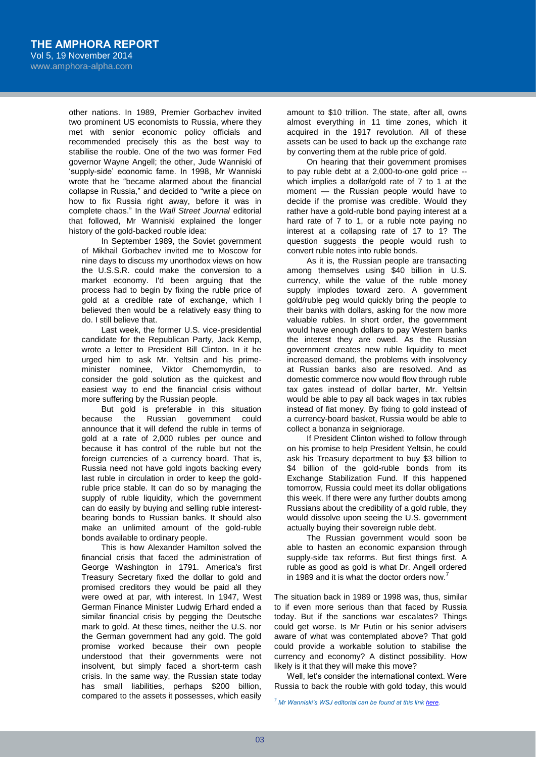other nations. In 1989, Premier Gorbachev invited two prominent US economists to Russia, where they met with senior economic policy officials and recommended precisely this as the best way to stabilise the rouble. One of the two was former Fed governor Wayne Angell; the other, Jude Wanniski of 'supply-side' economic fame. In 1998, Mr Wanniski wrote that he "became alarmed about the financial collapse in Russia," and decided to "write a piece on how to fix Russia right away, before it was in complete chaos." In the *Wall Street Journal* editorial that followed, Mr Wanniski explained the longer history of the gold-backed rouble idea:

In September 1989, the Soviet government of Mikhail Gorbachev invited me to Moscow for nine days to discuss my unorthodox views on how the U.S.S.R. could make the conversion to a market economy. I'd been arguing that the process had to begin by fixing the ruble price of gold at a credible rate of exchange, which I believed then would be a relatively easy thing to do. I still believe that.

Last week, the former U.S. vice-presidential candidate for the Republican Party, Jack Kemp, wrote a letter to President Bill Clinton. In it he urged him to ask Mr. Yeltsin and his primeminister nominee, Viktor Chernomyrdin, to consider the gold solution as the quickest and easiest way to end the financial crisis without more suffering by the Russian people.

But gold is preferable in this situation because the Russian government could announce that it will defend the ruble in terms of gold at a rate of 2,000 rubles per ounce and because it has control of the ruble but not the foreign currencies of a currency board. That is, Russia need not have gold ingots backing every last ruble in circulation in order to keep the goldruble price stable. It can do so by managing the supply of ruble liquidity, which the government can do easily by buying and selling ruble interestbearing bonds to Russian banks. It should also make an unlimited amount of the gold-ruble bonds available to ordinary people.

This is how Alexander Hamilton solved the financial crisis that faced the administration of George Washington in 1791. America's first Treasury Secretary fixed the dollar to gold and promised creditors they would be paid all they were owed at par, with interest. In 1947, West German Finance Minister Ludwig Erhard ended a similar financial crisis by pegging the Deutsche mark to gold. At these times, neither the U.S. nor the German government had any gold. The gold promise worked because their own people understood that their governments were not insolvent, but simply faced a short-term cash crisis. In the same way, the Russian state today has small liabilities, perhaps \$200 billion, compared to the assets it possesses, which easily

amount to \$10 trillion. The state, after all, owns almost everything in 11 time zones, which it acquired in the 1917 revolution. All of these assets can be used to back up the exchange rate by converting them at the ruble price of gold.

On hearing that their government promises to pay ruble debt at a 2,000-to-one gold price - which implies a dollar/gold rate of 7 to 1 at the moment — the Russian people would have to decide if the promise was credible. Would they rather have a gold-ruble bond paying interest at a hard rate of 7 to 1, or a ruble note paying no interest at a collapsing rate of 17 to 1? The question suggests the people would rush to convert ruble notes into ruble bonds.

As it is, the Russian people are transacting among themselves using \$40 billion in U.S. currency, while the value of the ruble money supply implodes toward zero. A government gold/ruble peg would quickly bring the people to their banks with dollars, asking for the now more valuable rubles. In short order, the government would have enough dollars to pay Western banks the interest they are owed. As the Russian government creates new ruble liquidity to meet increased demand, the problems with insolvency at Russian banks also are resolved. And as domestic commerce now would flow through ruble tax gates instead of dollar barter, Mr. Yeltsin would be able to pay all back wages in tax rubles instead of fiat money. By fixing to gold instead of a currency-board basket, Russia would be able to collect a bonanza in seigniorage.

If President Clinton wished to follow through on his promise to help President Yeltsin, he could ask his Treasury department to buy \$3 billion to \$4 billion of the gold-ruble bonds from its Exchange Stabilization Fund. If this happened tomorrow, Russia could meet its dollar obligations this week. If there were any further doubts among Russians about the credibility of a gold ruble, they would dissolve upon seeing the U.S. government actually buying their sovereign ruble debt.

The Russian government would soon be able to hasten an economic expansion through supply-side tax reforms. But first things first. A ruble as good as gold is what Dr. Angell ordered in 1989 and it is what the doctor orders now.

The situation back in 1989 or 1998 was, thus, similar to if even more serious than that faced by Russia today. But if the sanctions war escalates? Things could get worse. Is Mr Putin or his senior advisers aware of what was contemplated above? That gold could provide a workable solution to stabilise the currency and economy? A distinct possibility. How likely is it that they will make this move?

Well, let's consider the international context. Were Russia to back the rouble with gold today, this would

*<sup>7</sup> Mr Wanniski's WSJ editorial can be found at this lin[k here.](http://www.polyconomics.com/memos/mm-980909.htm)*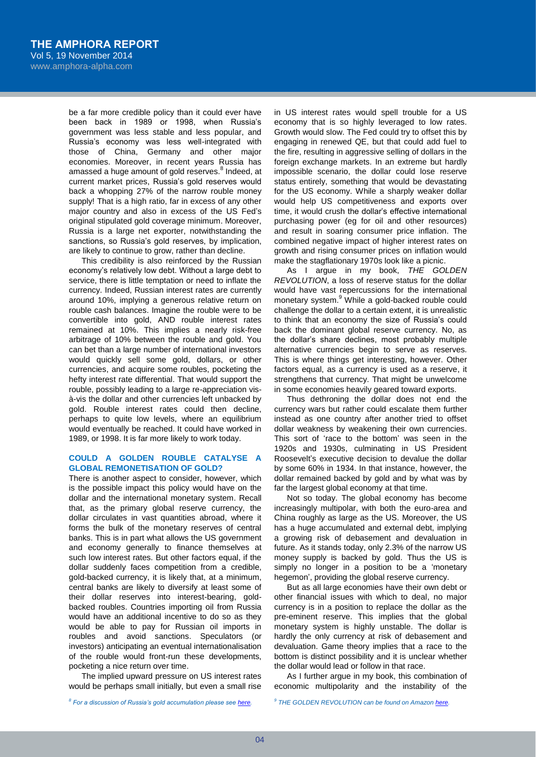be a far more credible policy than it could ever have been back in 1989 or 1998, when Russia's government was less stable and less popular, and Russia's economy was less well-integrated with those of China, Germany and other major economies. Moreover, in recent years Russia has amassed a huge amount of gold reserves.<sup>8</sup> Indeed, at current market prices, Russia's gold reserves would back a whopping 27% of the narrow rouble money supply! That is a high ratio, far in excess of any other major country and also in excess of the US Fed's original stipulated gold coverage minimum. Moreover, Russia is a large net exporter, notwithstanding the sanctions, so Russia's gold reserves, by implication, are likely to continue to grow, rather than decline.

This credibility is also reinforced by the Russian economy's relatively low debt. Without a large debt to service, there is little temptation or need to inflate the currency. Indeed, Russian interest rates are currently around 10%, implying a generous relative return on rouble cash balances. Imagine the rouble were to be convertible into gold, AND rouble interest rates remained at 10%. This implies a nearly risk-free arbitrage of 10% between the rouble and gold. You can bet than a large number of international investors would quickly sell some gold, dollars, or other currencies, and acquire some roubles, pocketing the hefty interest rate differential. That would support the rouble, possibly leading to a large re-appreciation visà-vis the dollar and other currencies left unbacked by gold. Rouble interest rates could then decline, perhaps to quite low levels, where an equilibrium would eventually be reached. It could have worked in 1989, or 1998. It is far more likely to work today.

# **COULD A GOLDEN ROUBLE CATALYSE A GLOBAL REMONETISATION OF GOLD?**

There is another aspect to consider, however, which is the possible impact this policy would have on the dollar and the international monetary system. Recall that, as the primary global reserve currency, the dollar circulates in vast quantities abroad, where it forms the bulk of the monetary reserves of central banks. This is in part what allows the US government and economy generally to finance themselves at such low interest rates. But other factors equal, if the dollar suddenly faces competition from a credible, gold-backed currency, it is likely that, at a minimum, central banks are likely to diversify at least some of their dollar reserves into interest-bearing, goldbacked roubles. Countries importing oil from Russia would have an additional incentive to do so as they would be able to pay for Russian oil imports in roubles and avoid sanctions. Speculators (or investors) anticipating an eventual internationalisation of the rouble would front-run these developments, pocketing a nice return over time.

The implied upward pressure on US interest rates would be perhaps small initially, but even a small rise

in US interest rates would spell trouble for a US economy that is so highly leveraged to low rates. Growth would slow. The Fed could try to offset this by engaging in renewed QE, but that could add fuel to the fire, resulting in aggressive selling of dollars in the foreign exchange markets. In an extreme but hardly impossible scenario, the dollar could lose reserve status entirely, something that would be devastating for the US economy. While a sharply weaker dollar would help US competitiveness and exports over time, it would crush the dollar's effective international purchasing power (eg for oil and other resources) and result in soaring consumer price inflation. The combined negative impact of higher interest rates on growth and rising consumer prices on inflation would make the stagflationary 1970s look like a picnic.

As I argue in my book, *THE GOLDEN REVOLUTION*, a loss of reserve status for the dollar would have vast repercussions for the international monetary system.<sup>9</sup> While a gold-backed rouble could challenge the dollar to a certain extent, it is unrealistic to think that an economy the size of Russia's could back the dominant global reserve currency. No, as the dollar's share declines, most probably multiple alternative currencies begin to serve as reserves. This is where things get interesting, however. Other factors equal, as a currency is used as a reserve, it strengthens that currency. That might be unwelcome in some economies heavily geared toward exports.

Thus dethroning the dollar does not end the currency wars but rather could escalate them further instead as one country after another tried to offset dollar weakness by weakening their own currencies. This sort of 'race to the bottom' was seen in the 1920s and 1930s, culminating in US President Roosevelt's executive decision to devalue the dollar by some 60% in 1934. In that instance, however, the dollar remained backed by gold and by what was by far the largest global economy at that time.

Not so today. The global economy has become increasingly multipolar, with both the euro-area and China roughly as large as the US. Moreover, the US has a huge accumulated and external debt, implying a growing risk of debasement and devaluation in future. As it stands today, only 2.3% of the narrow US money supply is backed by gold. Thus the US is simply no longer in a position to be a 'monetary hegemon', providing the global reserve currency.

But as all large economies have their own debt or other financial issues with which to deal, no major currency is in a position to replace the dollar as the pre-eminent reserve. This implies that the global monetary system is highly unstable. The dollar is hardly the only currency at risk of debasement and devaluation. Game theory implies that a race to the bottom is distinct possibility and it is unclear whether the dollar would lead or follow in that race.

As I further argue in my book, this combination of economic multipolarity and the instability of the

*9 THE GOLDEN REVOLUTION can be found on Amazon [here.](http://www.amazon.com/Golden-Revolution-Prepare-Coming-Standard/dp/1118136489/ref=sr_1_1?ie=UTF8&qid=1416406411&sr=8-1&keywords=the+golden+revolution&pebp=1416406415278)*

*8 For a discussion of Russia's gold accumulation please se[e here.](http://www.telegraph.co.uk/finance/commodities/11226240/Putin-stockpiles-gold-as-Russia-prepares-for-economic-war.html)*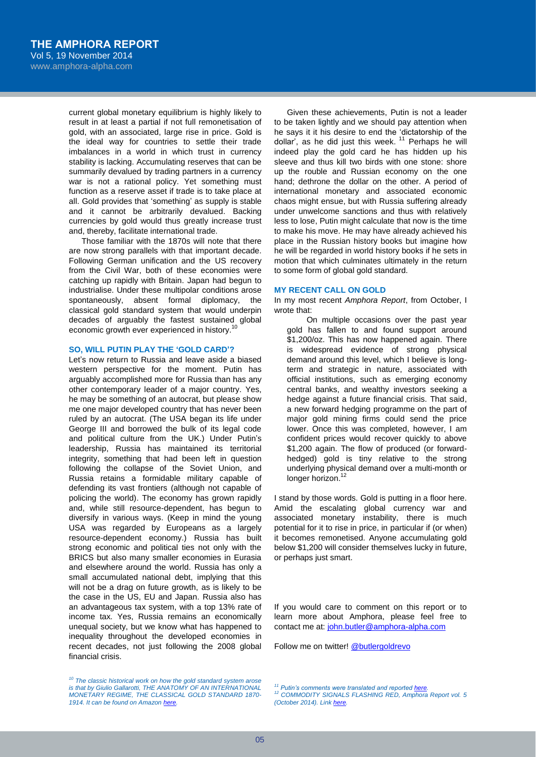current global monetary equilibrium is highly likely to result in at least a partial if not full remonetisation of gold, with an associated, large rise in price. Gold is the ideal way for countries to settle their trade imbalances in a world in which trust in currency stability is lacking. Accumulating reserves that can be summarily devalued by trading partners in a currency war is not a rational policy. Yet something must function as a reserve asset if trade is to take place at all. Gold provides that 'something' as supply is stable and it cannot be arbitrarily devalued. Backing currencies by gold would thus greatly increase trust and, thereby, facilitate international trade.

Those familiar with the 1870s will note that there are now strong parallels with that important decade. Following German unification and the US recovery from the Civil War, both of these economies were catching up rapidly with Britain. Japan had begun to industrialise. Under these multipolar conditions arose spontaneously, absent formal diplomacy, the classical gold standard system that would underpin decades of arguably the fastest sustained global economic growth ever experienced in history.<sup>10</sup>

## **SO, WILL PUTIN PLAY THE 'GOLD CARD'?**

Let's now return to Russia and leave aside a biased western perspective for the moment. Putin has arguably accomplished more for Russia than has any other contemporary leader of a major country. Yes, he may be something of an autocrat, but please show me one major developed country that has never been ruled by an autocrat. (The USA began its life under George III and borrowed the bulk of its legal code and political culture from the UK.) Under Putin's leadership, Russia has maintained its territorial integrity, something that had been left in question following the collapse of the Soviet Union, and Russia retains a formidable military capable of defending its vast frontiers (although not capable of policing the world). The economy has grown rapidly and, while still resource-dependent, has begun to diversify in various ways. (Keep in mind the young USA was regarded by Europeans as a largely resource-dependent economy.) Russia has built strong economic and political ties not only with the BRICS but also many smaller economies in Eurasia and elsewhere around the world. Russia has only a small accumulated national debt, implying that this will not be a drag on future growth, as is likely to be the case in the US, EU and Japan. Russia also has an advantageous tax system, with a top 13% rate of income tax. Yes, Russia remains an economically unequal society, but we know what has happened to inequality throughout the developed economies in recent decades, not just following the 2008 global financial crisis.

*<sup>10</sup> The classic historical work on how the gold standard system arose is that by Giulio Gallarotti, THE ANATOMY OF AN INTERNATIONAL MONETARY REGIME, THE CLASSICAL GOLD STANDARD 1870- 1914. It can be found on Amazo[n here.](http://www.amazon.com/Anatomy-International-Monetary-Regime-Classical/dp/0195089901/ref=sr_1_1?ie=UTF8&qid=1416406699&sr=8-1&keywords=GIULIO+gallarotti&pebp=1416406711045)*

Given these achievements, Putin is not a leader to be taken lightly and we should pay attention when he says it it his desire to end the 'dictatorship of the dollar', as he did just this week.<sup>11</sup> Perhaps he will indeed play the gold card he has hidden up his sleeve and thus kill two birds with one stone: shore up the rouble and Russian economy on the one hand; dethrone the dollar on the other. A period of international monetary and associated economic chaos might ensue, but with Russia suffering already under unwelcome sanctions and thus with relatively less to lose, Putin might calculate that now is the time to make his move. He may have already achieved his place in the Russian history books but imagine how he will be regarded in world history books if he sets in motion that which culminates ultimately in the return to some form of global gold standard.

### **MY RECENT CALL ON GOLD**

In my most recent *Amphora Report*, from October, I wrote that:

On multiple occasions over the past year gold has fallen to and found support around \$1,200/oz. This has now happened again. There is widespread evidence of strong physical demand around this level, which I believe is longterm and strategic in nature, associated with official institutions, such as emerging economy central banks, and wealthy investors seeking a hedge against a future financial crisis. That said, a new forward hedging programme on the part of major gold mining firms could send the price lower. Once this was completed, however, I am confident prices would recover quickly to above \$1,200 again. The flow of produced (or forwardhedged) gold is tiny relative to the strong underlying physical demand over a multi-month or longer horizon.<sup>12</sup>

I stand by those words. Gold is putting in a floor here. Amid the escalating global currency war and associated monetary instability, there is much potential for it to rise in price, in particular if (or when) it becomes remonetised. Anyone accumulating gold below \$1,200 will consider themselves lucky in future, or perhaps just smart.

If you would care to comment on this report or to learn more about Amphora, please feel free to contact me at[: john.butler@amphora-alpha.com](mailto:john.butler@amphora-alpha.com)

Follow me on twitter[! @butlergoldrevo](https://twitter.com/ButlerGoldRevo)

*Putin's comments were translated and reported here* 

*<sup>12</sup> COMMODITY SIGNALS FLASHING RED, Amphora Report vol. 5 (October 2014). Lin[k here.](http://www.financialsense.com/contributors/john-butler/commodity-signals-flashing-red)*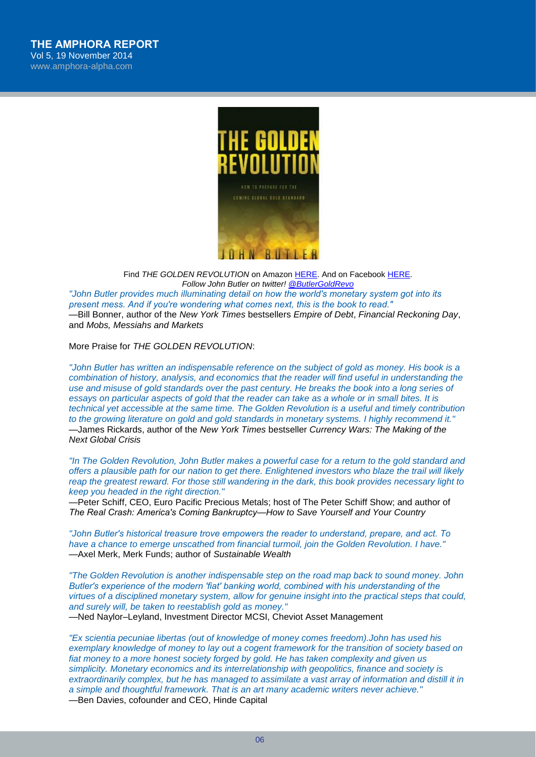

Find *THE GOLDEN REVOLUTION* on Amazon [HERE.](http://www.amazon.com/The-Golden-Revolution-Prepare-Standard/dp/1118136489/ref=sr_1_1?s=books&ie=UTF8&qid=1331552836&sr=1-1) And on Faceboo[k HERE.](http://www.facebook.com/thegoldenrevolution) *Follow John Butler on twitter! [@ButlerGoldRevo](https://twitter.com/ButlerGoldRevo) "John Butler provides much illuminating detail on how the world′s monetary system got into its present mess. And if you′re wondering what comes next, this is the book to read."*

—Bill Bonner, author of the *New York Times* bestsellers *Empire of Debt*, *Financial Reckoning Day*, and *Mobs, Messiahs and Markets*

More Praise for *THE GOLDEN REVOLUTION*:

*"John Butler has written an indispensable reference on the subject of gold as money. His book is a combination of history, analysis, and economics that the reader will find useful in understanding the use and misuse of gold standards over the past century. He breaks the book into a long series of essays on particular aspects of gold that the reader can take as a whole or in small bites. It is technical yet accessible at the same time. The Golden Revolution is a useful and timely contribution to the growing literature on gold and gold standards in monetary systems. I highly recommend it."* —James Rickards, author of the *New York Times* bestseller *Currency Wars: The Making of the Next Global Crisis*

*"In The Golden Revolution, John Butler makes a powerful case for a return to the gold standard and offers a plausible path for our nation to get there. Enlightened investors who blaze the trail will likely reap the greatest reward. For those still wandering in the dark, this book provides necessary light to keep you headed in the right direction."*

—Peter Schiff, CEO, Euro Pacific Precious Metals; host of The Peter Schiff Show; and author of *The Real Crash: America′s Coming Bankruptcy—How to Save Yourself and Your Country*

*"John Butler′s historical treasure trove empowers the reader to understand, prepare, and act. To have a chance to emerge unscathed from financial turmoil, join the Golden Revolution. I have."* —Axel Merk, Merk Funds; author of *Sustainable Wealth*

*"The Golden Revolution is another indispensable step on the road map back to sound money. John Butler′s experience of the modern ′fiat′ banking world, combined with his understanding of the virtues of a disciplined monetary system, allow for genuine insight into the practical steps that could, and surely will, be taken to reestablish gold as money."*

—Ned Naylor–Leyland, Investment Director MCSI, Cheviot Asset Management

*"Ex scientia pecuniae libertas (out of knowledge of money comes freedom).John has used his exemplary knowledge of money to lay out a cogent framework for the transition of society based on fiat money to a more honest society forged by gold. He has taken complexity and given us simplicity. Monetary economics and its interrelationship with geopolitics, finance and society is extraordinarily complex, but he has managed to assimilate a vast array of information and distill it in a simple and thoughtful framework. That is an art many academic writers never achieve."* —Ben Davies, cofounder and CEO, Hinde Capital